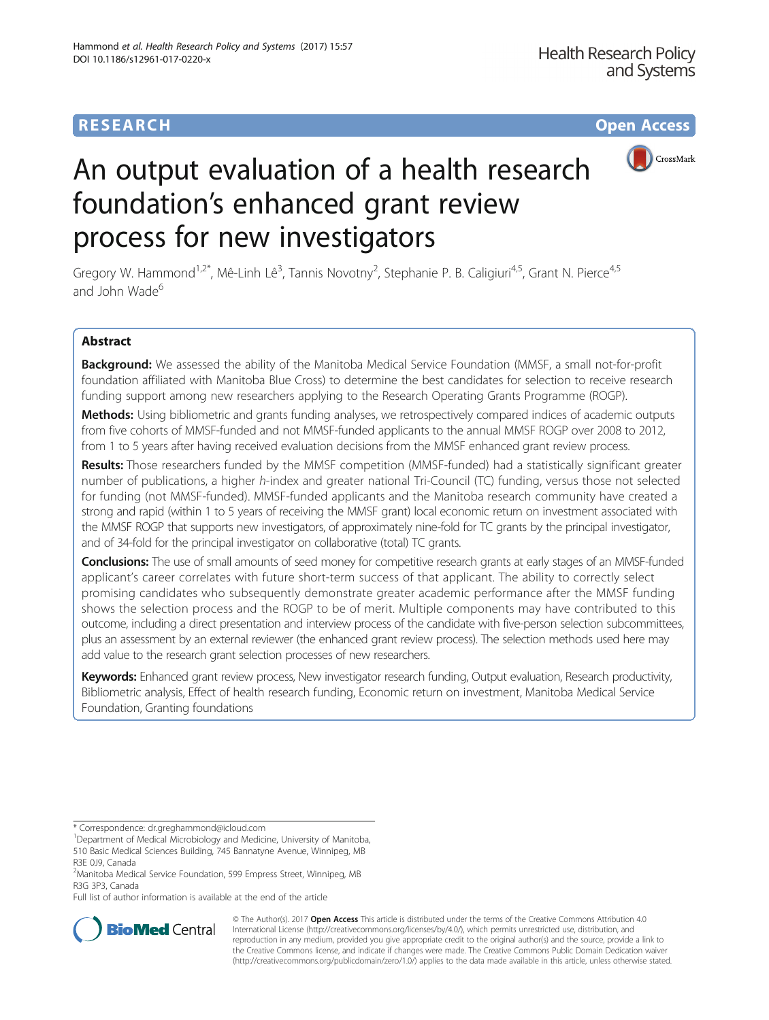## **RESEARCH CHE Open Access**



# An output evaluation of a health research foundation's enhanced grant review process for new investigators

Gregory W. Hammond<sup>1,2\*</sup>, Mê-Linh Lê<sup>3</sup>, Tannis Novotny<sup>2</sup>, Stephanie P. B. Caligiuri<sup>4,5</sup>, Grant N. Pierce<sup>4,5</sup> and John Wade<sup>6</sup>

## Abstract

Background: We assessed the ability of the Manitoba Medical Service Foundation (MMSF, a small not-for-profit foundation affiliated with Manitoba Blue Cross) to determine the best candidates for selection to receive research funding support among new researchers applying to the Research Operating Grants Programme (ROGP).

Methods: Using bibliometric and grants funding analyses, we retrospectively compared indices of academic outputs from five cohorts of MMSF-funded and not MMSF-funded applicants to the annual MMSF ROGP over 2008 to 2012, from 1 to 5 years after having received evaluation decisions from the MMSF enhanced grant review process.

Results: Those researchers funded by the MMSF competition (MMSF-funded) had a statistically significant greater number of publications, a higher h-index and greater national Tri-Council (TC) funding, versus those not selected for funding (not MMSF-funded). MMSF-funded applicants and the Manitoba research community have created a strong and rapid (within 1 to 5 years of receiving the MMSF grant) local economic return on investment associated with the MMSF ROGP that supports new investigators, of approximately nine-fold for TC grants by the principal investigator, and of 34-fold for the principal investigator on collaborative (total) TC grants.

Conclusions: The use of small amounts of seed money for competitive research grants at early stages of an MMSF-funded applicant's career correlates with future short-term success of that applicant. The ability to correctly select promising candidates who subsequently demonstrate greater academic performance after the MMSF funding shows the selection process and the ROGP to be of merit. Multiple components may have contributed to this outcome, including a direct presentation and interview process of the candidate with five-person selection subcommittees, plus an assessment by an external reviewer (the enhanced grant review process). The selection methods used here may add value to the research grant selection processes of new researchers.

Keywords: Enhanced grant review process, New investigator research funding, Output evaluation, Research productivity, Bibliometric analysis, Effect of health research funding, Economic return on investment, Manitoba Medical Service Foundation, Granting foundations

\* Correspondence: [dr.greghammond@icloud.com](mailto:dr.greghammond@icloud.com) <sup>1</sup>

Full list of author information is available at the end of the article



© The Author(s). 2017 **Open Access** This article is distributed under the terms of the Creative Commons Attribution 4.0 International License [\(http://creativecommons.org/licenses/by/4.0/](http://creativecommons.org/licenses/by/4.0/)), which permits unrestricted use, distribution, and reproduction in any medium, provided you give appropriate credit to the original author(s) and the source, provide a link to the Creative Commons license, and indicate if changes were made. The Creative Commons Public Domain Dedication waiver [\(http://creativecommons.org/publicdomain/zero/1.0/](http://creativecommons.org/publicdomain/zero/1.0/)) applies to the data made available in this article, unless otherwise stated.

<sup>&</sup>lt;sup>1</sup>Department of Medical Microbiology and Medicine, University of Manitoba, 510 Basic Medical Sciences Building, 745 Bannatyne Avenue, Winnipeg, MB

R3E 0J9, Canada

<sup>&</sup>lt;sup>2</sup>Manitoba Medical Service Foundation, 599 Empress Street, Winnipeg, MB R3G 3P3, Canada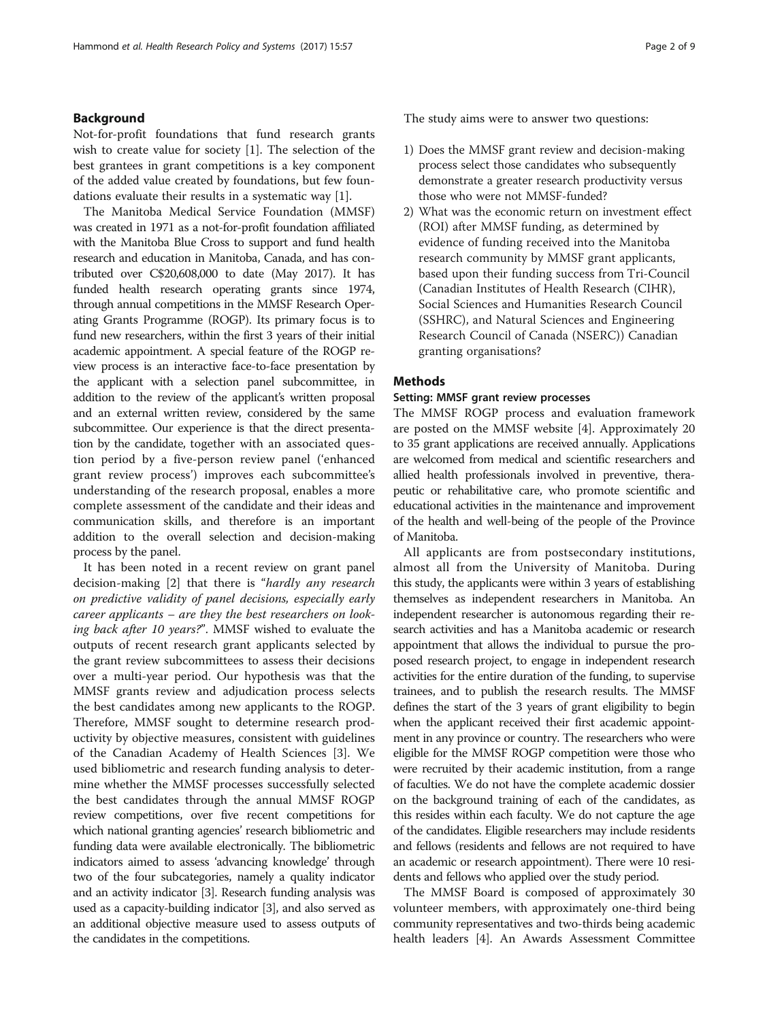## Background

Not-for-profit foundations that fund research grants wish to create value for society [\[1](#page-8-0)]. The selection of the best grantees in grant competitions is a key component of the added value created by foundations, but few foundations evaluate their results in a systematic way [[1](#page-8-0)].

The Manitoba Medical Service Foundation (MMSF) was created in 1971 as a not-for-profit foundation affiliated with the Manitoba Blue Cross to support and fund health research and education in Manitoba, Canada, and has contributed over C\$20,608,000 to date (May 2017). It has funded health research operating grants since 1974, through annual competitions in the MMSF Research Operating Grants Programme (ROGP). Its primary focus is to fund new researchers, within the first 3 years of their initial academic appointment. A special feature of the ROGP review process is an interactive face-to-face presentation by the applicant with a selection panel subcommittee, in addition to the review of the applicant's written proposal and an external written review, considered by the same subcommittee. Our experience is that the direct presentation by the candidate, together with an associated question period by a five-person review panel ('enhanced grant review process') improves each subcommittee's understanding of the research proposal, enables a more complete assessment of the candidate and their ideas and communication skills, and therefore is an important addition to the overall selection and decision-making process by the panel.

It has been noted in a recent review on grant panel decision-making [[2\]](#page-8-0) that there is "hardly any research on predictive validity of panel decisions, especially early career applicants – are they the best researchers on looking back after 10 years?". MMSF wished to evaluate the outputs of recent research grant applicants selected by the grant review subcommittees to assess their decisions over a multi-year period. Our hypothesis was that the MMSF grants review and adjudication process selects the best candidates among new applicants to the ROGP. Therefore, MMSF sought to determine research productivity by objective measures, consistent with guidelines of the Canadian Academy of Health Sciences [\[3\]](#page-8-0). We used bibliometric and research funding analysis to determine whether the MMSF processes successfully selected the best candidates through the annual MMSF ROGP review competitions, over five recent competitions for which national granting agencies' research bibliometric and funding data were available electronically. The bibliometric indicators aimed to assess 'advancing knowledge' through two of the four subcategories, namely a quality indicator and an activity indicator [[3](#page-8-0)]. Research funding analysis was used as a capacity-building indicator [\[3\]](#page-8-0), and also served as an additional objective measure used to assess outputs of the candidates in the competitions.

The study aims were to answer two questions:

- 1) Does the MMSF grant review and decision-making process select those candidates who subsequently demonstrate a greater research productivity versus those who were not MMSF-funded?
- 2) What was the economic return on investment effect (ROI) after MMSF funding, as determined by evidence of funding received into the Manitoba research community by MMSF grant applicants, based upon their funding success from Tri-Council (Canadian Institutes of Health Research (CIHR), Social Sciences and Humanities Research Council (SSHRC), and Natural Sciences and Engineering Research Council of Canada (NSERC)) Canadian granting organisations?

#### Methods

#### Setting: MMSF grant review processes

The MMSF ROGP process and evaluation framework are posted on the MMSF website [[4\]](#page-8-0). Approximately 20 to 35 grant applications are received annually. Applications are welcomed from medical and scientific researchers and allied health professionals involved in preventive, therapeutic or rehabilitative care, who promote scientific and educational activities in the maintenance and improvement of the health and well-being of the people of the Province of Manitoba.

All applicants are from postsecondary institutions, almost all from the University of Manitoba. During this study, the applicants were within 3 years of establishing themselves as independent researchers in Manitoba. An independent researcher is autonomous regarding their research activities and has a Manitoba academic or research appointment that allows the individual to pursue the proposed research project, to engage in independent research activities for the entire duration of the funding, to supervise trainees, and to publish the research results. The MMSF defines the start of the 3 years of grant eligibility to begin when the applicant received their first academic appointment in any province or country. The researchers who were eligible for the MMSF ROGP competition were those who were recruited by their academic institution, from a range of faculties. We do not have the complete academic dossier on the background training of each of the candidates, as this resides within each faculty. We do not capture the age of the candidates. Eligible researchers may include residents and fellows (residents and fellows are not required to have an academic or research appointment). There were 10 residents and fellows who applied over the study period.

The MMSF Board is composed of approximately 30 volunteer members, with approximately one-third being community representatives and two-thirds being academic health leaders [[4](#page-8-0)]. An Awards Assessment Committee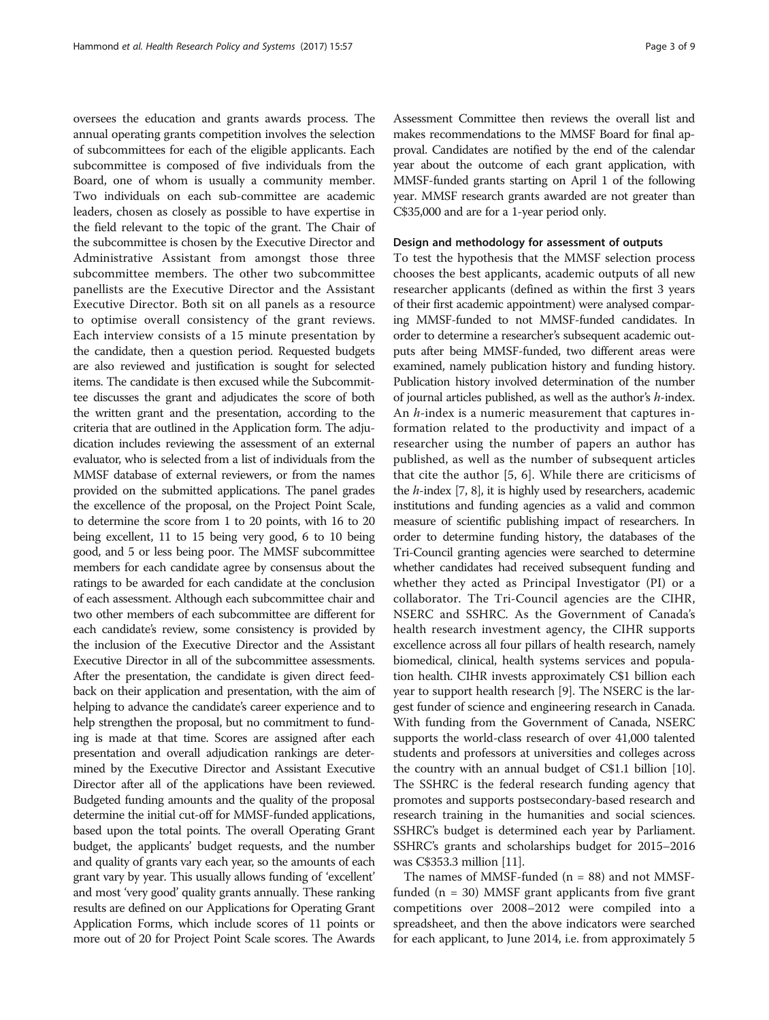oversees the education and grants awards process. The annual operating grants competition involves the selection of subcommittees for each of the eligible applicants. Each subcommittee is composed of five individuals from the Board, one of whom is usually a community member. Two individuals on each sub-committee are academic leaders, chosen as closely as possible to have expertise in the field relevant to the topic of the grant. The Chair of the subcommittee is chosen by the Executive Director and Administrative Assistant from amongst those three subcommittee members. The other two subcommittee panellists are the Executive Director and the Assistant Executive Director. Both sit on all panels as a resource to optimise overall consistency of the grant reviews. Each interview consists of a 15 minute presentation by the candidate, then a question period. Requested budgets are also reviewed and justification is sought for selected items. The candidate is then excused while the Subcommittee discusses the grant and adjudicates the score of both the written grant and the presentation, according to the criteria that are outlined in the Application form. The adjudication includes reviewing the assessment of an external evaluator, who is selected from a list of individuals from the MMSF database of external reviewers, or from the names provided on the submitted applications. The panel grades the excellence of the proposal, on the Project Point Scale, to determine the score from 1 to 20 points, with 16 to 20 being excellent, 11 to 15 being very good, 6 to 10 being good, and 5 or less being poor. The MMSF subcommittee members for each candidate agree by consensus about the ratings to be awarded for each candidate at the conclusion of each assessment. Although each subcommittee chair and two other members of each subcommittee are different for each candidate's review, some consistency is provided by the inclusion of the Executive Director and the Assistant Executive Director in all of the subcommittee assessments. After the presentation, the candidate is given direct feedback on their application and presentation, with the aim of helping to advance the candidate's career experience and to help strengthen the proposal, but no commitment to funding is made at that time. Scores are assigned after each presentation and overall adjudication rankings are determined by the Executive Director and Assistant Executive Director after all of the applications have been reviewed. Budgeted funding amounts and the quality of the proposal determine the initial cut-off for MMSF-funded applications, based upon the total points. The overall Operating Grant budget, the applicants' budget requests, and the number and quality of grants vary each year, so the amounts of each grant vary by year. This usually allows funding of 'excellent' and most 'very good' quality grants annually. These ranking results are defined on our Applications for Operating Grant Application Forms, which include scores of 11 points or more out of 20 for Project Point Scale scores. The Awards

Assessment Committee then reviews the overall list and makes recommendations to the MMSF Board for final approval. Candidates are notified by the end of the calendar year about the outcome of each grant application, with MMSF-funded grants starting on April 1 of the following year. MMSF research grants awarded are not greater than C\$35,000 and are for a 1-year period only.

#### Design and methodology for assessment of outputs

To test the hypothesis that the MMSF selection process chooses the best applicants, academic outputs of all new researcher applicants (defined as within the first 3 years of their first academic appointment) were analysed comparing MMSF-funded to not MMSF-funded candidates. In order to determine a researcher's subsequent academic outputs after being MMSF-funded, two different areas were examined, namely publication history and funding history. Publication history involved determination of the number of journal articles published, as well as the author's  $h$ -index. An *h*-index is a numeric measurement that captures information related to the productivity and impact of a researcher using the number of papers an author has published, as well as the number of subsequent articles that cite the author [\[5](#page-8-0), [6\]](#page-8-0). While there are criticisms of the  $h$ -index  $[7, 8]$  $[7, 8]$  $[7, 8]$ , it is highly used by researchers, academic institutions and funding agencies as a valid and common measure of scientific publishing impact of researchers. In order to determine funding history, the databases of the Tri-Council granting agencies were searched to determine whether candidates had received subsequent funding and whether they acted as Principal Investigator (PI) or a collaborator. The Tri-Council agencies are the CIHR, NSERC and SSHRC. As the Government of Canada's health research investment agency, the CIHR supports excellence across all four pillars of health research, namely biomedical, clinical, health systems services and population health. CIHR invests approximately C\$1 billion each year to support health research [[9](#page-8-0)]. The NSERC is the largest funder of science and engineering research in Canada. With funding from the Government of Canada, NSERC supports the world-class research of over 41,000 talented students and professors at universities and colleges across the country with an annual budget of C\$1.1 billion [[10](#page-8-0)]. The SSHRC is the federal research funding agency that promotes and supports postsecondary-based research and research training in the humanities and social sciences. SSHRC's budget is determined each year by Parliament. SSHRC's grants and scholarships budget for 2015–2016 was C\$353.3 million [[11](#page-8-0)].

The names of MMSF-funded  $(n = 88)$  and not MMSFfunded  $(n = 30)$  MMSF grant applicants from five grant competitions over 2008–2012 were compiled into a spreadsheet, and then the above indicators were searched for each applicant, to June 2014, i.e. from approximately 5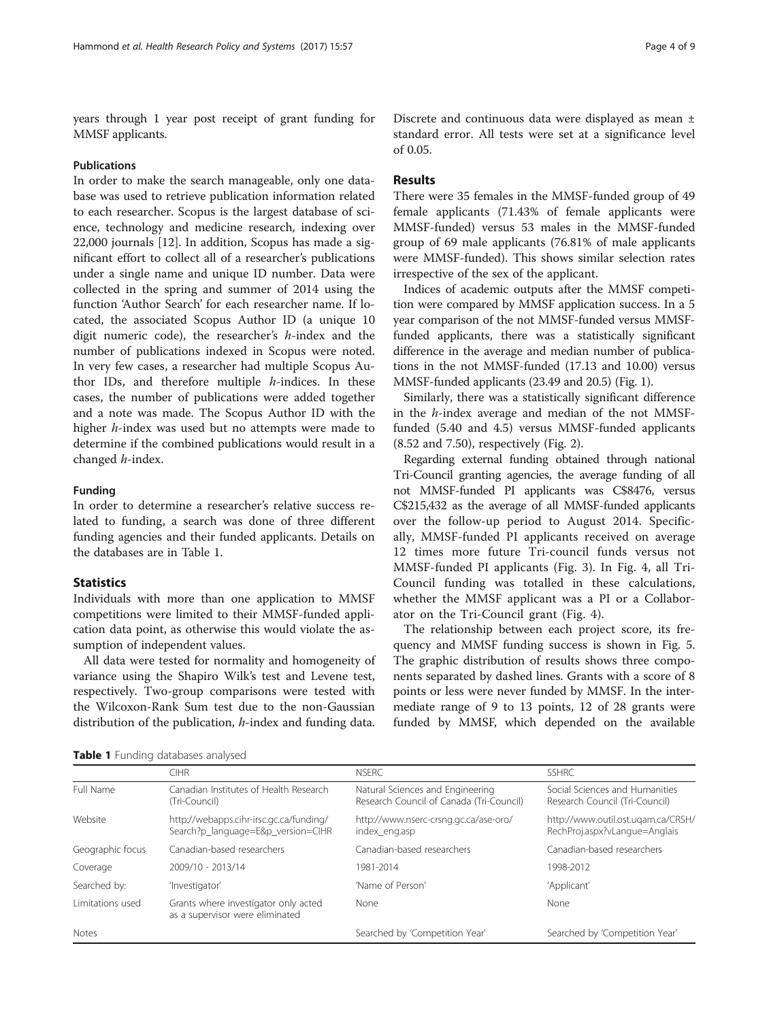years through 1 year post receipt of grant funding for MMSF applicants.

#### Publications

In order to make the search manageable, only one database was used to retrieve publication information related to each researcher. Scopus is the largest database of science, technology and medicine research, indexing over 22,000 journals [\[12](#page-8-0)]. In addition, Scopus has made a significant effort to collect all of a researcher's publications under a single name and unique ID number. Data were collected in the spring and summer of 2014 using the function 'Author Search' for each researcher name. If located, the associated Scopus Author ID (a unique 10 digit numeric code), the researcher's h-index and the number of publications indexed in Scopus were noted. In very few cases, a researcher had multiple Scopus Author IDs, and therefore multiple  $h$ -indices. In these cases, the number of publications were added together and a note was made. The Scopus Author ID with the higher h-index was used but no attempts were made to determine if the combined publications would result in a changed h-index.

## Funding

In order to determine a researcher's relative success related to funding, a search was done of three different funding agencies and their funded applicants. Details on the databases are in Table 1.

## **Statistics**

Individuals with more than one application to MMSF competitions were limited to their MMSF-funded application data point, as otherwise this would violate the assumption of independent values.

All data were tested for normality and homogeneity of variance using the Shapiro Wilk's test and Levene test, respectively. Two-group comparisons were tested with the Wilcoxon-Rank Sum test due to the non-Gaussian distribution of the publication, h-index and funding data.

Discrete and continuous data were displayed as mean ± standard error. All tests were set at a significance level of 0.05.

#### Results

There were 35 females in the MMSF-funded group of 49 female applicants (71.43% of female applicants were MMSF-funded) versus 53 males in the MMSF-funded group of 69 male applicants (76.81% of male applicants were MMSF-funded). This shows similar selection rates irrespective of the sex of the applicant.

Indices of academic outputs after the MMSF competition were compared by MMSF application success. In a 5 year comparison of the not MMSF-funded versus MMSFfunded applicants, there was a statistically significant difference in the average and median number of publications in the not MMSF-funded (17.13 and 10.00) versus MMSF-funded applicants (23.49 and 20.5) (Fig. [1](#page-4-0)).

Similarly, there was a statistically significant difference in the h-index average and median of the not MMSFfunded (5.40 and 4.5) versus MMSF-funded applicants (8.52 and 7.50), respectively (Fig. [2\)](#page-4-0).

Regarding external funding obtained through national Tri-Council granting agencies, the average funding of all not MMSF-funded PI applicants was C\$8476, versus C\$215,432 as the average of all MMSF-funded applicants over the follow-up period to August 2014. Specifically, MMSF-funded PI applicants received on average 12 times more future Tri-council funds versus not MMSF-funded PI applicants (Fig. [3\)](#page-4-0). In Fig. [4](#page-4-0), all Tri-Council funding was totalled in these calculations, whether the MMSF applicant was a PI or a Collaborator on the Tri-Council grant (Fig. [4\)](#page-4-0).

The relationship between each project score, its frequency and MMSF funding success is shown in Fig. [5](#page-5-0). The graphic distribution of results shows three components separated by dashed lines. Grants with a score of 8 points or less were never funded by MMSF. In the intermediate range of 9 to 13 points, 12 of 28 grants were funded by MMSF, which depended on the available

| <b>Table 1</b> Funding databases analysed |  |  |
|-------------------------------------------|--|--|
|-------------------------------------------|--|--|

|                  | <b>CIHR</b>                                                                   | <b>NSERC</b>                                                                 | <b>SSHRC</b>                                                        |  |
|------------------|-------------------------------------------------------------------------------|------------------------------------------------------------------------------|---------------------------------------------------------------------|--|
| Full Name        | Canadian Institutes of Health Research<br>(Tri-Council)                       | Natural Sciences and Engineering<br>Research Council of Canada (Tri-Council) | Social Sciences and Humanities<br>Research Council (Tri-Council)    |  |
| Website          | http://webapps.cihr-irsc.gc.ca/funding/<br>Search?p language=E&p version=CIHR | http://www.nserc-crsng.gc.ca/ase-oro/<br>index eng.asp                       | http://www.outil.ost.ugam.ca/CRSH/<br>RechProj.aspx?vLangue=Anglais |  |
| Geographic focus | Canadian-based researchers                                                    | Canadian-based researchers                                                   | Canadian-based researchers                                          |  |
| Coverage         | 2009/10 - 2013/14                                                             | 1981-2014                                                                    | 1998-2012                                                           |  |
| Searched by:     | 'Investigator'                                                                | 'Name of Person'                                                             | 'Applicant'                                                         |  |
| Limitations used | Grants where investigator only acted<br>as a supervisor were eliminated       | None                                                                         | None                                                                |  |
| <b>Notes</b>     |                                                                               | Searched by 'Competition Year'                                               | Searched by 'Competition Year'                                      |  |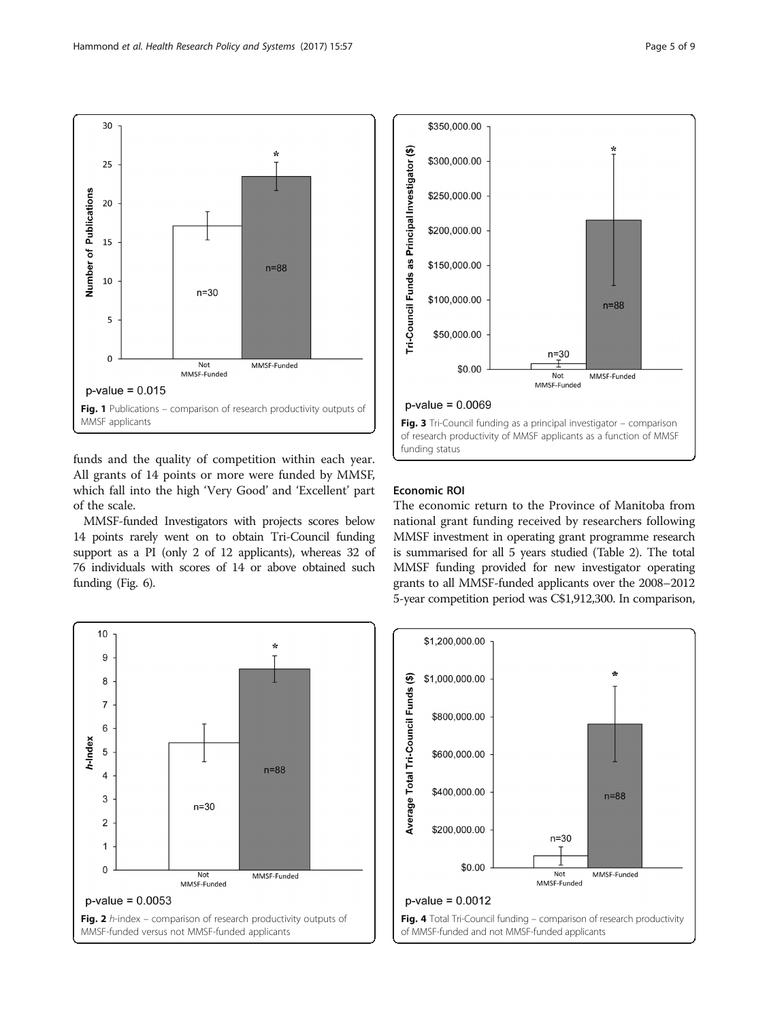<span id="page-4-0"></span>

funds and the quality of competition within each year. All grants of 14 points or more were funded by MMSF, which fall into the high 'Very Good' and 'Excellent' part of the scale.

MMSF-funded Investigators with projects scores below 14 points rarely went on to obtain Tri-Council funding support as a PI (only 2 of 12 applicants), whereas 32 of 76 individuals with scores of 14 or above obtained such funding (Fig. [6](#page-5-0)).





## Economic ROI

The economic return to the Province of Manitoba from national grant funding received by researchers following MMSF investment in operating grant programme research is summarised for all 5 years studied (Table [2](#page-6-0)). The total MMSF funding provided for new investigator operating grants to all MMSF-funded applicants over the 2008–2012 5-year competition period was C\$1,912,300. In comparison,

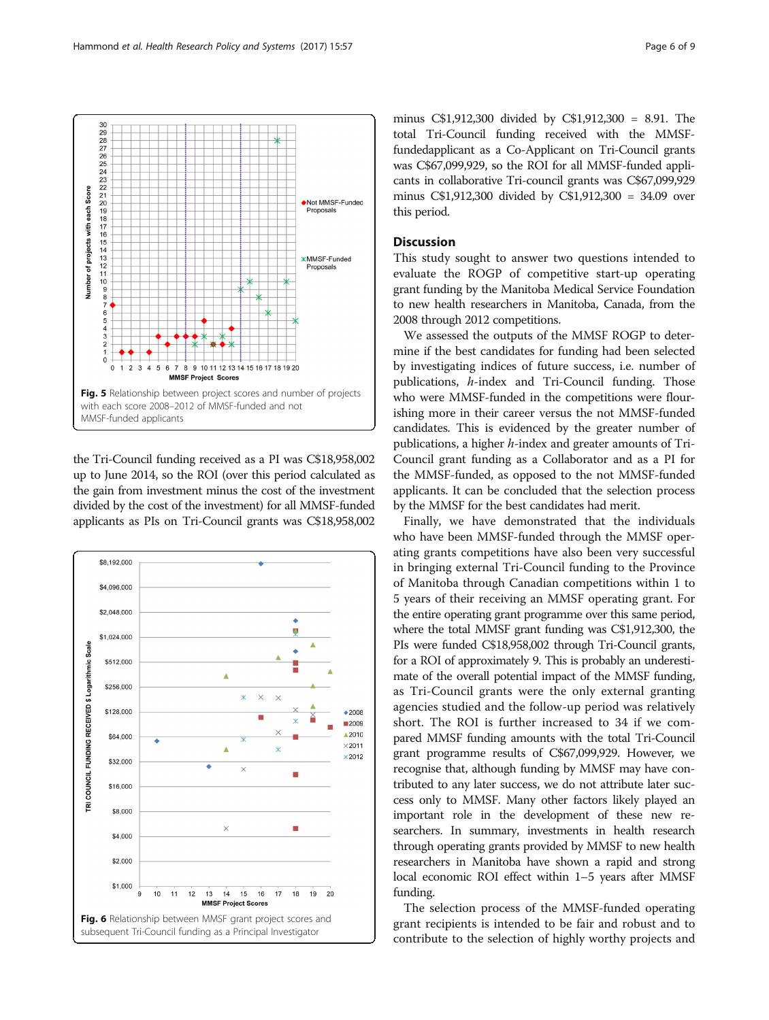<span id="page-5-0"></span>

the Tri-Council funding received as a PI was C\$18,958,002 up to June 2014, so the ROI (over this period calculated as the gain from investment minus the cost of the investment divided by the cost of the investment) for all MMSF-funded applicants as PIs on Tri-Council grants was C\$18,958,002



minus C\$1,912,300 divided by C\$1,912,300 = 8.91. The total Tri-Council funding received with the MMSFfundedapplicant as a Co-Applicant on Tri-Council grants was C\$67,099,929, so the ROI for all MMSF-funded applicants in collaborative Tri-council grants was C\$67,099,929 minus C\$1,912,300 divided by C\$1,912,300 = 34.09 over this period.

## **Discussion**

This study sought to answer two questions intended to evaluate the ROGP of competitive start-up operating grant funding by the Manitoba Medical Service Foundation to new health researchers in Manitoba, Canada, from the 2008 through 2012 competitions.

We assessed the outputs of the MMSF ROGP to determine if the best candidates for funding had been selected by investigating indices of future success, i.e. number of publications, h-index and Tri-Council funding. Those who were MMSF-funded in the competitions were flourishing more in their career versus the not MMSF-funded candidates. This is evidenced by the greater number of publications, a higher  $h$ -index and greater amounts of Tri-Council grant funding as a Collaborator and as a PI for the MMSF-funded, as opposed to the not MMSF-funded applicants. It can be concluded that the selection process by the MMSF for the best candidates had merit.

Finally, we have demonstrated that the individuals who have been MMSF-funded through the MMSF operating grants competitions have also been very successful in bringing external Tri-Council funding to the Province of Manitoba through Canadian competitions within 1 to 5 years of their receiving an MMSF operating grant. For the entire operating grant programme over this same period, where the total MMSF grant funding was C\$1,912,300, the PIs were funded C\$18,958,002 through Tri-Council grants, for a ROI of approximately 9. This is probably an underestimate of the overall potential impact of the MMSF funding, as Tri-Council grants were the only external granting agencies studied and the follow-up period was relatively short. The ROI is further increased to 34 if we compared MMSF funding amounts with the total Tri-Council grant programme results of C\$67,099,929. However, we recognise that, although funding by MMSF may have contributed to any later success, we do not attribute later success only to MMSF. Many other factors likely played an important role in the development of these new researchers. In summary, investments in health research through operating grants provided by MMSF to new health researchers in Manitoba have shown a rapid and strong local economic ROI effect within 1–5 years after MMSF funding.

The selection process of the MMSF-funded operating grant recipients is intended to be fair and robust and to contribute to the selection of highly worthy projects and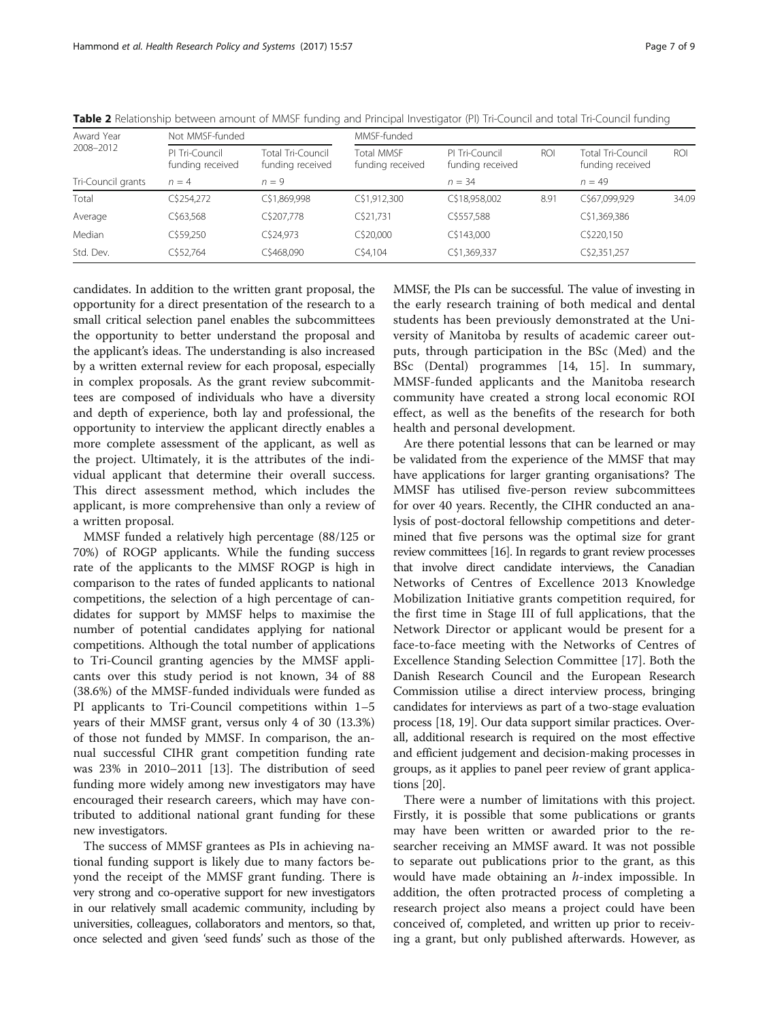| Award Year<br>2008-2012 | Not MMSF-funded                    |                                       | MMSF-funded                           |                                    |      |                                       |            |
|-------------------------|------------------------------------|---------------------------------------|---------------------------------------|------------------------------------|------|---------------------------------------|------------|
|                         | PI Tri-Council<br>funding received | Total Tri-Council<br>funding received | <b>Total MMSF</b><br>funding received | PI Tri-Council<br>funding received | ROI  | Total Tri-Council<br>funding received | <b>ROI</b> |
| Tri-Council grants      | $n = 4$                            | $n = 9$                               |                                       | $n = 34$                           |      | $n = 49$                              |            |
| Total                   | C\$254,272                         | C\$1,869,998                          | C\$1,912,300                          | C\$18,958,002                      | 8.91 | C\$67,099,929                         | 34.09      |
| Average                 | C\$63.568                          | C\$207.778                            | C\$21.731                             | C\$557,588                         |      | C\$1,369,386                          |            |
| Median                  | C\$59,250                          | C\$24.973                             | C\$20,000                             | C\$143,000                         |      | C\$220,150                            |            |
| Std. Dev.               | C\$52.764                          | C\$468.090                            | $C$ \$4.104                           | C\$1,369,337                       |      | C\$2,351,257                          |            |

<span id="page-6-0"></span>Table 2 Relationship between amount of MMSF funding and Principal Investigator (PI) Tri-Council and total Tri-Council funding

candidates. In addition to the written grant proposal, the opportunity for a direct presentation of the research to a small critical selection panel enables the subcommittees the opportunity to better understand the proposal and the applicant's ideas. The understanding is also increased by a written external review for each proposal, especially in complex proposals. As the grant review subcommittees are composed of individuals who have a diversity and depth of experience, both lay and professional, the opportunity to interview the applicant directly enables a more complete assessment of the applicant, as well as the project. Ultimately, it is the attributes of the individual applicant that determine their overall success. This direct assessment method, which includes the applicant, is more comprehensive than only a review of a written proposal.

MMSF funded a relatively high percentage (88/125 or 70%) of ROGP applicants. While the funding success rate of the applicants to the MMSF ROGP is high in comparison to the rates of funded applicants to national competitions, the selection of a high percentage of candidates for support by MMSF helps to maximise the number of potential candidates applying for national competitions. Although the total number of applications to Tri-Council granting agencies by the MMSF applicants over this study period is not known, 34 of 88 (38.6%) of the MMSF-funded individuals were funded as PI applicants to Tri-Council competitions within 1–5 years of their MMSF grant, versus only 4 of 30 (13.3%) of those not funded by MMSF. In comparison, the annual successful CIHR grant competition funding rate was 23% in 2010–2011 [\[13](#page-8-0)]. The distribution of seed funding more widely among new investigators may have encouraged their research careers, which may have contributed to additional national grant funding for these new investigators.

The success of MMSF grantees as PIs in achieving national funding support is likely due to many factors beyond the receipt of the MMSF grant funding. There is very strong and co-operative support for new investigators in our relatively small academic community, including by universities, colleagues, collaborators and mentors, so that, once selected and given 'seed funds' such as those of the MMSF, the PIs can be successful. The value of investing in the early research training of both medical and dental students has been previously demonstrated at the University of Manitoba by results of academic career outputs, through participation in the BSc (Med) and the BSc (Dental) programmes [[14, 15](#page-8-0)]. In summary, MMSF-funded applicants and the Manitoba research community have created a strong local economic ROI effect, as well as the benefits of the research for both health and personal development.

Are there potential lessons that can be learned or may be validated from the experience of the MMSF that may have applications for larger granting organisations? The MMSF has utilised five-person review subcommittees for over 40 years. Recently, the CIHR conducted an analysis of post-doctoral fellowship competitions and determined that five persons was the optimal size for grant review committees [[16](#page-8-0)]. In regards to grant review processes that involve direct candidate interviews, the Canadian Networks of Centres of Excellence 2013 Knowledge Mobilization Initiative grants competition required, for the first time in Stage III of full applications, that the Network Director or applicant would be present for a face-to-face meeting with the Networks of Centres of Excellence Standing Selection Committee [[17\]](#page-8-0). Both the Danish Research Council and the European Research Commission utilise a direct interview process, bringing candidates for interviews as part of a two-stage evaluation process [\[18](#page-8-0), [19\]](#page-8-0). Our data support similar practices. Overall, additional research is required on the most effective and efficient judgement and decision-making processes in groups, as it applies to panel peer review of grant applications [\[20\]](#page-8-0).

There were a number of limitations with this project. Firstly, it is possible that some publications or grants may have been written or awarded prior to the researcher receiving an MMSF award. It was not possible to separate out publications prior to the grant, as this would have made obtaining an h-index impossible. In addition, the often protracted process of completing a research project also means a project could have been conceived of, completed, and written up prior to receiving a grant, but only published afterwards. However, as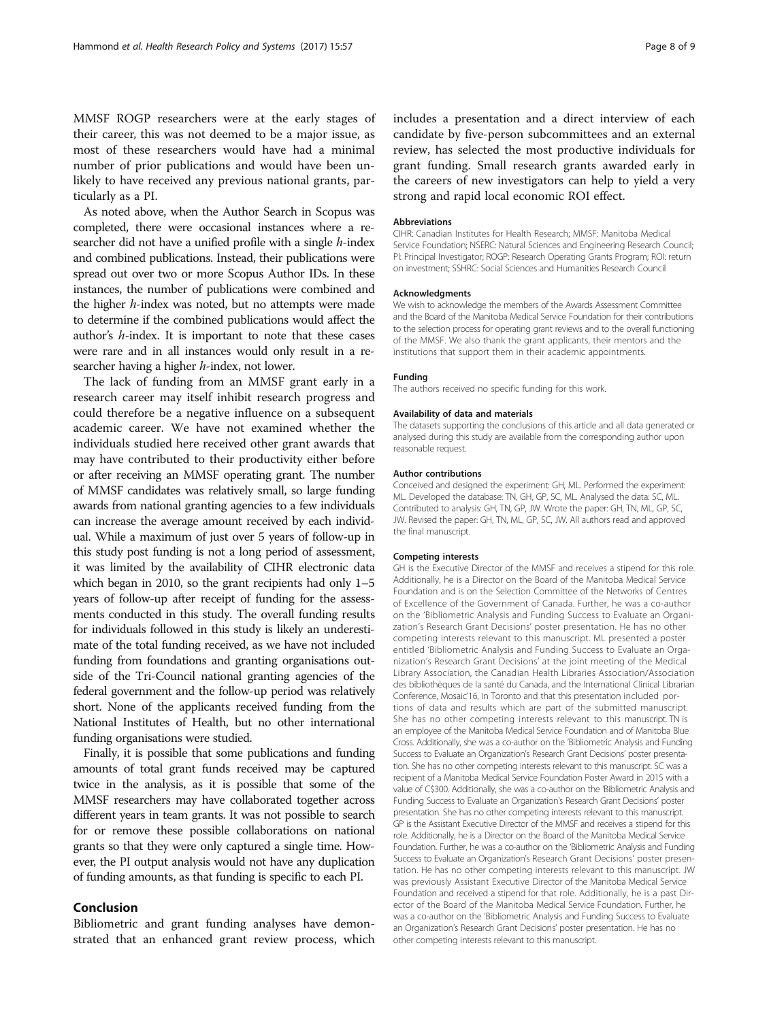MMSF ROGP researchers were at the early stages of their career, this was not deemed to be a major issue, as most of these researchers would have had a minimal number of prior publications and would have been unlikely to have received any previous national grants, particularly as a PI.

As noted above, when the Author Search in Scopus was completed, there were occasional instances where a researcher did not have a unified profile with a single h-index and combined publications. Instead, their publications were spread out over two or more Scopus Author IDs. In these instances, the number of publications were combined and the higher h-index was noted, but no attempts were made to determine if the combined publications would affect the author's  $h$ -index. It is important to note that these cases were rare and in all instances would only result in a researcher having a higher *h*-index, not lower.

The lack of funding from an MMSF grant early in a research career may itself inhibit research progress and could therefore be a negative influence on a subsequent academic career. We have not examined whether the individuals studied here received other grant awards that may have contributed to their productivity either before or after receiving an MMSF operating grant. The number of MMSF candidates was relatively small, so large funding awards from national granting agencies to a few individuals can increase the average amount received by each individual. While a maximum of just over 5 years of follow-up in this study post funding is not a long period of assessment, it was limited by the availability of CIHR electronic data which began in 2010, so the grant recipients had only 1–5 years of follow-up after receipt of funding for the assessments conducted in this study. The overall funding results for individuals followed in this study is likely an underestimate of the total funding received, as we have not included funding from foundations and granting organisations outside of the Tri-Council national granting agencies of the federal government and the follow-up period was relatively short. None of the applicants received funding from the National Institutes of Health, but no other international funding organisations were studied.

Finally, it is possible that some publications and funding amounts of total grant funds received may be captured twice in the analysis, as it is possible that some of the MMSF researchers may have collaborated together across different years in team grants. It was not possible to search for or remove these possible collaborations on national grants so that they were only captured a single time. However, the PI output analysis would not have any duplication of funding amounts, as that funding is specific to each PI.

## Conclusion

Bibliometric and grant funding analyses have demonstrated that an enhanced grant review process, which includes a presentation and a direct interview of each candidate by five-person subcommittees and an external review, has selected the most productive individuals for grant funding. Small research grants awarded early in the careers of new investigators can help to yield a very strong and rapid local economic ROI effect.

#### **Abbreviations**

CIHR: Canadian Institutes for Health Research; MMSF: Manitoba Medical Service Foundation; NSERC: Natural Sciences and Engineering Research Council; PI: Principal Investigator; ROGP: Research Operating Grants Program; ROI: return on investment; SSHRC: Social Sciences and Humanities Research Council

#### Acknowledgments

We wish to acknowledge the members of the Awards Assessment Committee and the Board of the Manitoba Medical Service Foundation for their contributions to the selection process for operating grant reviews and to the overall functioning of the MMSF. We also thank the grant applicants, their mentors and the institutions that support them in their academic appointments.

#### Funding

The authors received no specific funding for this work.

#### Availability of data and materials

The datasets supporting the conclusions of this article and all data generated or analysed during this study are available from the corresponding author upon reasonable request.

#### Author contributions

Conceived and designed the experiment: GH, ML. Performed the experiment: ML. Developed the database: TN, GH, GP, SC, ML. Analysed the data: SC, ML. Contributed to analysis: GH, TN, GP, JW. Wrote the paper: GH, TN, ML, GP, SC, JW. Revised the paper: GH, TN, ML, GP, SC, JW. All authors read and approved the final manuscript.

#### Competing interests

GH is the Executive Director of the MMSF and receives a stipend for this role. Additionally, he is a Director on the Board of the Manitoba Medical Service Foundation and is on the Selection Committee of the Networks of Centres of Excellence of the Government of Canada. Further, he was a co-author on the 'Bibliometric Analysis and Funding Success to Evaluate an Organization's Research Grant Decisions' poster presentation. He has no other competing interests relevant to this manuscript. ML presented a poster entitled 'Bibliometric Analysis and Funding Success to Evaluate an Organization's Research Grant Decisions' at the joint meeting of the Medical Library Association, the Canadian Health Libraries Association/Association des bibliothèques de la santé du Canada, and the International Clinical Librarian Conference, Mosaic'16, in Toronto and that this presentation included portions of data and results which are part of the submitted manuscript. She has no other competing interests relevant to this manuscript. TN is an employee of the Manitoba Medical Service Foundation and of Manitoba Blue Cross. Additionally, she was a co-author on the 'Bibliometric Analysis and Funding Success to Evaluate an Organization's Research Grant Decisions' poster presentation. She has no other competing interests relevant to this manuscript. SC was a recipient of a Manitoba Medical Service Foundation Poster Award in 2015 with a value of C\$300. Additionally, she was a co-author on the 'Bibliometric Analysis and Funding Success to Evaluate an Organization's Research Grant Decisions' poster presentation. She has no other competing interests relevant to this manuscript. GP is the Assistant Executive Director of the MMSF and receives a stipend for this role. Additionally, he is a Director on the Board of the Manitoba Medical Service Foundation. Further, he was a co-author on the 'Bibliometric Analysis and Funding Success to Evaluate an Organization's Research Grant Decisions' poster presentation. He has no other competing interests relevant to this manuscript. JW was previously Assistant Executive Director of the Manitoba Medical Service Foundation and received a stipend for that role. Additionally, he is a past Director of the Board of the Manitoba Medical Service Foundation. Further, he was a co-author on the 'Bibliometric Analysis and Funding Success to Evaluate an Organization's Research Grant Decisions' poster presentation. He has no other competing interests relevant to this manuscript.